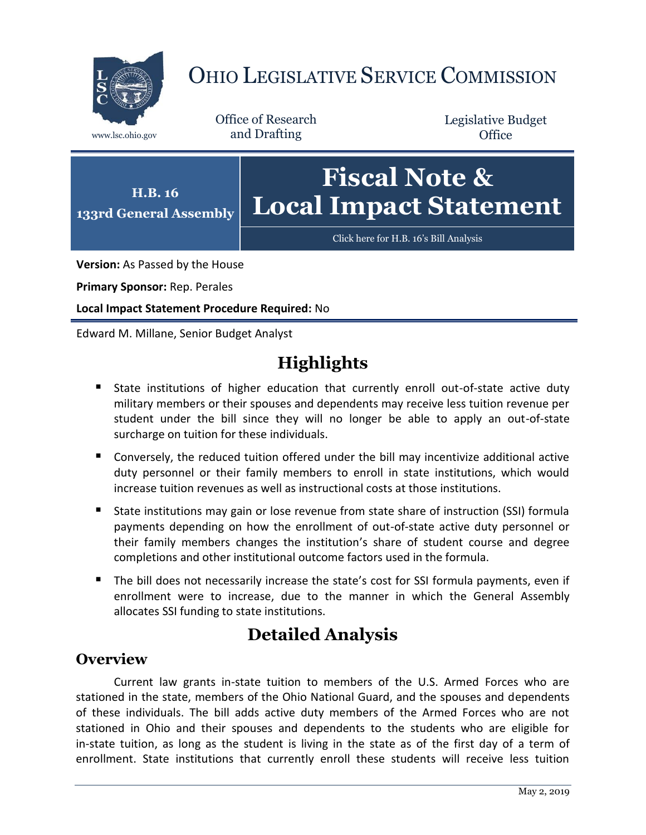

# OHIO LEGISLATIVE SERVICE COMMISSION

Office of Research www.lsc.ohio.gov and Drafting

Legislative Budget **Office** 



**Version:** As Passed by the House

**Primary Sponsor:** Rep. Perales

**Local Impact Statement Procedure Required:** No

Edward M. Millane, Senior Budget Analyst

# **Highlights**

- State institutions of higher education that currently enroll out-of-state active duty military members or their spouses and dependents may receive less tuition revenue per student under the bill since they will no longer be able to apply an out-of-state surcharge on tuition for these individuals.
- Conversely, the reduced tuition offered under the bill may incentivize additional active duty personnel or their family members to enroll in state institutions, which would increase tuition revenues as well as instructional costs at those institutions.
- State institutions may gain or lose revenue from state share of instruction (SSI) formula payments depending on how the enrollment of out-of-state active duty personnel or their family members changes the institution's share of student course and degree completions and other institutional outcome factors used in the formula.
- The bill does not necessarily increase the state's cost for SSI formula payments, even if enrollment were to increase, due to the manner in which the General Assembly allocates SSI funding to state institutions.

## **Detailed Analysis**

## **Overview**

Current law grants in-state tuition to members of the U.S. Armed Forces who are stationed in the state, members of the Ohio National Guard, and the spouses and dependents of these individuals. The bill adds active duty members of the Armed Forces who are not stationed in Ohio and their spouses and dependents to the students who are eligible for in-state tuition, as long as the student is living in the state as of the first day of a term of enrollment. State institutions that currently enroll these students will receive less tuition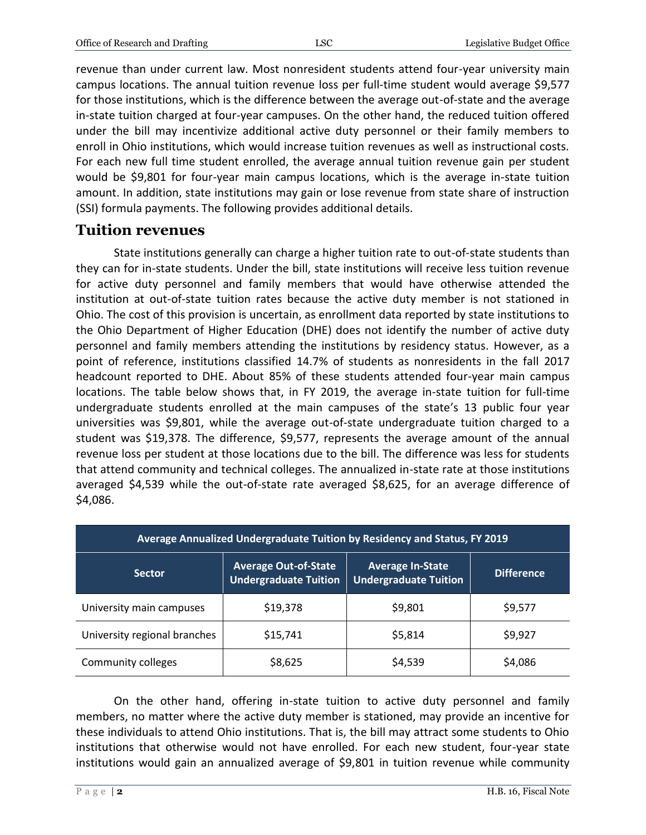revenue than under current law. Most nonresident students attend four-year university main campus locations. The annual tuition revenue loss per full-time student would average \$9,577 for those institutions, which is the difference between the average out-of-state and the average in-state tuition charged at four-year campuses. On the other hand, the reduced tuition offered under the bill may incentivize additional active duty personnel or their family members to enroll in Ohio institutions, which would increase tuition revenues as well as instructional costs. For each new full time student enrolled, the average annual tuition revenue gain per student would be \$9,801 for four-year main campus locations, which is the average in-state tuition amount. In addition, state institutions may gain or lose revenue from state share of instruction (SSI) formula payments. The following provides additional details.

### **Tuition revenues**

State institutions generally can charge a higher tuition rate to out-of-state students than they can for in-state students. Under the bill, state institutions will receive less tuition revenue for active duty personnel and family members that would have otherwise attended the institution at out-of-state tuition rates because the active duty member is not stationed in Ohio. The cost of this provision is uncertain, as enrollment data reported by state institutions to the Ohio Department of Higher Education (DHE) does not identify the number of active duty personnel and family members attending the institutions by residency status. However, as a point of reference, institutions classified 14.7% of students as nonresidents in the fall 2017 headcount reported to DHE. About 85% of these students attended four-year main campus locations. The table below shows that, in FY 2019, the average in-state tuition for full-time undergraduate students enrolled at the main campuses of the state's 13 public four year universities was \$9,801, while the average out-of-state undergraduate tuition charged to a student was \$19,378. The difference, \$9,577, represents the average amount of the annual revenue loss per student at those locations due to the bill. The difference was less for students that attend community and technical colleges. The annualized in-state rate at those institutions averaged \$4,539 while the out-of-state rate averaged \$8,625, for an average difference of \$4,086.

| Average Annualized Undergraduate Tuition by Residency and Status, FY 2019 |                                                             |                                                         |                   |
|---------------------------------------------------------------------------|-------------------------------------------------------------|---------------------------------------------------------|-------------------|
| <b>Sector</b>                                                             | <b>Average Out-of-State</b><br><b>Undergraduate Tuition</b> | <b>Average In-State</b><br><b>Undergraduate Tuition</b> | <b>Difference</b> |
| University main campuses                                                  | \$19,378                                                    | \$9,801                                                 | \$9,577           |
| University regional branches                                              | \$15,741                                                    | \$5,814                                                 | \$9,927           |
| Community colleges                                                        | \$8,625                                                     | \$4,539                                                 | \$4,086           |

On the other hand, offering in-state tuition to active duty personnel and family members, no matter where the active duty member is stationed, may provide an incentive for these individuals to attend Ohio institutions. That is, the bill may attract some students to Ohio institutions that otherwise would not have enrolled. For each new student, four-year state institutions would gain an annualized average of \$9,801 in tuition revenue while community